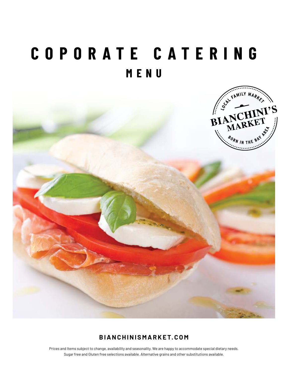# **COPORATE CATERING MENU**



# **BIANCHINISMARKET.COM**

Prices and Items subject to change, availability and seasonality. We are happy to accommodate special dietary needs. Sugar free and Gluten free selections available. Alternative grains and other substitutions available.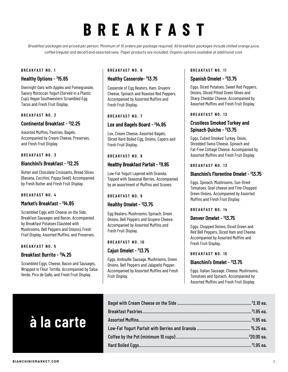# **BREAKFAST**

*Breakfast packages are priced per person. Minimum of 10 orders per package required. All breakfast packages include chilled orange juice, coffee (regular and decaf) and assorted teas. Paper products are included. Organic options available at additional cost.*

#### **BREAKFAST NO. 1**

#### **Healthy Options - \$ 15.65**

Overnight Oats with Apples and Pomegranate, Savory Moroccan Yogurt (Served in a Plastic Cup), Vegan Southwestern Scrambled Egg Tacos and Fresh Fruit Display.

#### **BREAKFAST NO. 2**

### **Continental Breakfast - \$ 12.25**

Assorted Muffins, Pastries, Bagels. Accompanied by Cream Cheese, Preserves, and Fresh Fruit Display.

#### **BREAKFAST NO. 3**

#### **Bianchini's Breakfast - \$ 12.25**

Butter and Chocolate Croissants, Bread Slices (Banana, Zucchini, Poppy Seed). Accompanied by Fresh Butter and Fresh Fruit Display.

#### **BREAKFAST NO. 4**

#### **Market's Breakfast - \$ 14.85**

Scrambled Eggs with Cheese on the Side, Breakfast Sausages and Bacon. Accompanied by Breakfast Potatoes (Sautéed with Mushrooms, Bell Peppers and Onions), Fresh Fruit Display, Assorted Muffins, and Preserves.

#### **BREAKFAST NO. 5**

#### **Breakfast Burrito - \$ 14.25**

Scrambled Eggs, Cheese, Bacon and Sausages, Wrapped in Flour Tortilla. Accompanied by Salsa Verde, Pico de Gallo, and Fresh Fruit Display.

#### **BREAKFAST NO. 6**

#### **Healthy Casserole- \$ 13.75**

Casserole of Egg Beaters, Ham, Gruyere Cheese, Spinach and Roasted Red Peppers. Accompanied by Assorted Muffins and Fresh Fruit Display.

#### **BREAKFAST NO. 7**

#### **Lox and Bagels Board - \$ 14.95**

Lox, Cream Cheese, Assorted Bagels, Sliced Hard Boiled Egg, Onions, Capers and Fresh Fruit Display.

#### **BREAKFAST NO. 8**

#### **Healthy Breakfast Parfait - \$ 11.95**

Low-Fat Yogurt Layered with Granola, Topped with Seasonal Berries. Accompanied by an assortment of Muffins and Scones.

#### **BREAKFAST NO. 9**

#### **Healthy Omelet - \$ 13.75**

Egg Beaters, Mushrooms, Spinach, Green Onions, Bell Peppers and Gruyere Cheese. Accompanied by Assorted Muffins and Fresh Fruit Display.

#### **BREAKFAST NO. 10**

### **Cajun Omelet - \$ 13.75**

Eggs, Andouille Sausage, Mushrooms, Green Onions, Bell Peppers and Jalapeño Pepper. Accompanied by Assorted Muffins and Fresh Fruit Display.

#### **BREAKFAST NO. 11**

#### **Spanish Omelet - \$ 13.75**

Eggs, Diced Potatoes, Sweet Red Peppers, Onions, Sliced Pitted Green Olives and Sharp Cheddar Cheese. Accompanied by Assorted Muffins and Fresh Fruit Display.

#### **BREAKFAST NO. 12**

# **Crustless Smoked Turkey and Spinach Quiche - \$ 13.75**

Eggs, Cubed Smoked Turkey, Onion, Shredded Swiss Cheese, Spinach and Fat-Free Cottage Cheese. Accompanied by Assorted Muffins and Fresh Fruit Display.

#### **BREAKFAST NO. 13**

#### **Bianchini's Florentine Omelet - \$ 13.75**

Eggs, Spinach, Mushrooms, Sun-Dried Tomatoes, Goat cheese and Fine Chopped Green Onions. Accompanied by Assorted Muffins and Fresh Fruit Display.

#### **BREAKFAST NO. 14**

#### **Denver Omelet - \$ 13.75**

Eggs, Chopped Onions, Diced Green and Red Bell Peppers, Diced Ham and Cheese. Accompanied by Assorted Muffins and Fresh Fruit Display.

#### **BREAKFAST NO. 15**

# **Bianchini's Omelet - \$ 13.75**

Eggs, Italian Sausage, Cheese, Mushrooms, Tomatoes and Spinach. Accompanied by Assorted Muffins and Fresh Fruit Display.

# **à la carte**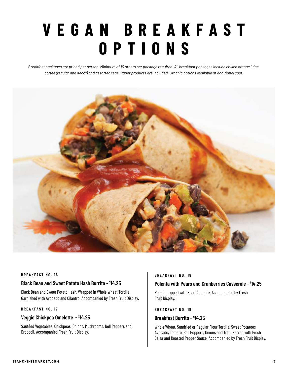# **V E G A N B R E A K F A S T OPTIONS**

*Breakfast packages are priced per person. Minimum of 10 orders per package required. All breakfast packages include chilled orange juice, coffee (regular and decaf) and assorted teas. Paper products are included. Organic options available at additional cost.*



#### **BREAKFAST NO. 16**

### **Black Bean and Sweet Potato Hash Burrito - \$ 14.25**

Black Bean and Sweet Potato Hash, Wrapped in Whole Wheat Tortilla. Garnished with Avocado and Cilantro. Accompanied by Fresh Fruit Display.

#### **BREAKFAST NO. 17**

#### **Veggie Chickpea Omelette - \$ 14.25**

Sautéed Vegetables, Chickpeas, Onions, Mushrooms, Bell Peppers and Broccoli. Accompanied Fresh Fruit Display.

#### **BREAKFAST NO. 18**

### **Polenta with Pears and Cranberries Casserole - \$ 14.25**

Polenta topped with Pear Compote. Accompanied by Fresh Fruit Display.

#### **BREAKFAST NO. 19**

#### **Breakfast Burrito - \$ 14.25**

Whole Wheat, Sundried or Regular Flour Tortilla, Sweet Potatoes, Avocado, Tomato, Bell Peppers, Onions and Tofu. Served with Fresh Salsa and Roasted Pepper Sauce. Accompanied by Fresh Fruit Display.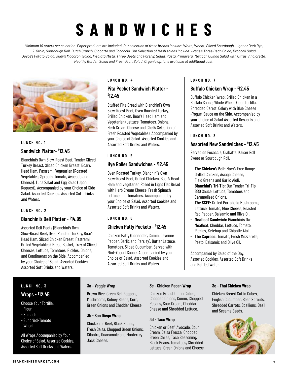# **SANDWICHES**

*Minimum 10 orders per selection. Paper products are included. Our selection of fresh breads include: White, Wheat, Sliced Sourdough, Light or Dark Rye, 12-Grain, Sourdough Roll, Dutch Crunch, Ciabatta and Focaccia. Our Selection of fresh salads include: Joyce's Three Bean Salad, Broccoli Salad, Joyce's Potato Salad, Judy's Macaroni Salad, Insalata Mista, Three Beets and Parsnip Salad, Pasta Primavera, Mexican Quinoa Salad with Citrus Vinaigrette, Healthy Garden Salad and Fresh Fruit Salad. Organic options available at additional cost.*



# **LUNCH NO. 1 Sandwich Platter- \$ 12.45**

Bianchini's Own Slow-Roast Beef, Tender Sliced Turkey Breast, Sliced Chicken Breast, Boar's Head Ham, Pastrami, Vegetarian (Roasted Vegetables, Sprouts, Tomato, Avocado and Cheese), Tuna Salad and Egg Salad (Upon Request). Accompanied by your Choice of Side Salad. Assorted Cookies. Assorted Soft Drinks and Waters.

#### **LUNCH NO. 2**

# **Bianchini's Deli Platter - \$ 14.95**

Assorted Deli Meats (Bianchini's Own Slow-Roast Beef, Oven Roasted Turkey, Boar's Head Ham, Sliced Chicken Breast, Pastrami, Grilled Vegetables), Bread Basket, Tray of Sliced Cheeses, Lettuce, Tomatoes, Pickles, Onions, and Condiments on the Side. Accompanied by your Choice of Salad. Assorted Cookies. Assorted Soft Drinks and Waters.

# **LUNCH NO. 3**

# **Wraps - \$ 12.45**

Choose Your Tortilla: - Flour

- Spinach
- Sundried-Tomato
- Wheat

All Wraps Accompanied by Your Choice of Salad, Assorted Cookies, Assorted Soft Drinks and Waters.

# **LUNCH NO. 4**

# **Pita Pocket Sandwich Platter - \$ 12.45**

Stuffed Pita Bread with Bianchini's Own Slow-Roast Beef, Oven Roasted Turkey, Grilled Chicken, Boar's Head Ham and Vegetarian (Lettuce, Tomatoes, Onions, Herb Cream Cheese and Chef's Selection of Fresh Roasted Vegetables). Accompanied by your Choice of Salad. Assorted Cookies and Assorted Soft Drinks and Waters.

# **LUNCH NO. 5**

# **Hye Roller Sandwiches - \$ 12.45**

Oven Roasted Turkey, Bianchini's Own Slow-Roast Beef, Grilled Chicken, Boar's Head Ham and Vegetarian Rolled in Light Flat Bread with Herb Cream Cheese, Fresh Spinach, Lettuce and Tomatoes. Accompanied by your Choice of Salad. Assorted Cookies and Assorted Soft Drinks and Waters.

# **LUNCH NO. 6**

# **Chicken Patty Pockets - \$ 12.45**

Chicken Patty (Coriander, Cumin, Cayenne Pepper, Garlic and Parsley), Butter Lettuce, Tomatoes, Sliced Cucumber. Served with Mint-Yogurt Sauce. Accompanied by your Choice of Salad. Assorted Cookies and Assorted Soft Drinks and Waters.

#### **LUNCH NO. 7**

# **Buffalo Chicken Wrap - \$ 12.45**

Buffalo Chicken Wrap: Grilled Chicken in a Buffalo Sauce, Whole Wheat Flour Tortilla, Shredded Carrot, Celery with Blue Cheese –Yogurt Sauce on the Side. Accompanied by your Choice of Salad Assorted Desserts and Assorted Soft Drinks and Waters.

# **LUNCH NO. 8**

# **Assorted New Sandwiches - \$ 12.45**

Served on Focaccia, Ciabatta, Kaiser Roll Sweet or Sourdough Roll.

- **The Chicken's Ball:** Mary's Free Range Grilled Chicken, Asiago Cheese, Field Greens and Garlic Aioli.<br>**Pianobini's Tri-Tin:** Our Tond
- **Bianchini's Tri-Tip:** Our Tender Tri-Tip, BBQ Sauce, Lettuce, Tomatoes and Caramelized Onions.
- **The SCFF:** Grilled Portobello Mushrooms. Lettuce, Tomato, Blue Cheese, Roasted Red Pepper, Balsamic and Olive Oil.
- **Meatloaf Sandwich:** Bianchini's Own Meatloaf, Cheddar, Lettuce, Tomato, Pickles, Ketchup and Chipotle Aioli.
- **The Caprese:** Tomato, Fresh Mozzarella, Pesto, Balsamic and Olive Oil.

Accompanied by Salad of the Day, Assorted Cookies, Assorted Soft Drinks and Bottled Water.

# **3a - Veggie Wrap**

# Brown Rice, Green Bell Peppers,

Mushrooms, Kidney Beans, Corn, Green Onions and Cheddar Cheese.

# **3b - San Diego Wrap**

Chicken or Beef, Black Beans, Fresh Salsa, Chopped Green Onions, Cilantro, Guacamole and Monterrey Jack Cheese.

# **3c - Chicken Pecan Wrap**

Chicken Breast Cut in Cubes, Chopped Onions, Cumin, Chopped Pecans, Sour Cream, Cheddar Cheese and Shredded Lettuce.

# **3d - Taco Wrap**

Chicken or Beef, Avocado, Sour Cream, Salsa Fresca, Chopped Green Chiles, Taco Seasoning, Black Beans, Tomatoes, Shredded Lettuce, Green Onions and Cheese.

# **3e - Thai Chicken Wrap**

Chicken Breast Cut in Cubes, English Cucumber, Bean Sprouts, Shredded Carrots, Scallions, Basil and Sesame Seeds.

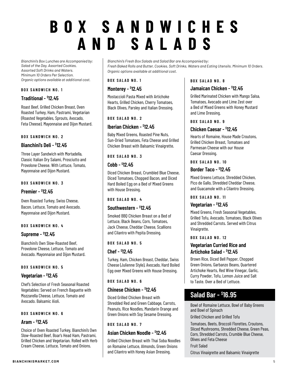# **BOX SANDWICHES AND SALADS**

*Bianchini's Box Lunches are Accompanied by: Salad of the Day, Assorted Cookies, Assorted Soft Drinks and Waters. Minimum 10 Orders Per Selection. Organic options available at additional cost.*

#### **BOX SANDWICH NO. 1**

# **Traditional - \$ 12.45**

Roast Beef, Grilled Chicken Breast, Oven Roasted Turkey, Ham, Pastrami, Vegetarian (Roasted Vegetables, Sprouts, Avocado, Feta Cheese). Mayonnaise and Dijon Mustard.

#### **BOX SANDWICH NO. 2**

# **Bianchini's Deli - \$ 12.45**

Three Layer Sandwich with Mortadella, Classic Italian Dry Salami, Prosciutto and Provolone Cheese. With Lettuce, Tomato, Mayonnaise and Dijon Mustard.

#### **BOX SANDWICH NO. 3**

# **Premier - \$ 12.45**

Oven Roasted Turkey, Swiss Cheese, Bacon, Lettuce, Tomato and Avocado. Mayonnaise and Dijon Mustard.

#### **BOX SANDWICH NO. 4**

# **Supreme - \$ 12.45**

Bianchini's Own Slow-Roasted Beef, Provolone Cheese, Lettuce, Tomato and Avocado. Mayonnaise and Dijon Mustard.

#### **BOX SANDWICH NO. 5**

# **Vegetarian - \$ 12.45**

Chef's Selection of Fresh Seasonal Roasted Vegetables: Served on French Baguette with Mozzarella Cheese, Lettuce, Tomato and Avocado. Balsamic Aioli.

#### **BOX SANDWICH NO. 6**

### **Aram - \$ 12.45**

Choice of Oven Roasted Turkey, Bianchini's Own Slow-Roasted Beef, Boar's Head Ham, Pastrami, Grilled Chicken and Vegetarian. Rolled with Herb Cream Cheese, Lettuce, Tomato and Onions.

*Bianchini's Fresh Box Salads and Salad Bar are Accompanied by: Fresh Baked Rolls and Butter, Cookies, Soft Drinks, Waters and Eating Utensils. Minimum 10 Orders. Organic options available at additional cost.*

#### **BOX SALAD NO. 1**

# **Monterey - \$ 12.45**

Mostaccioli Pasta Mixed with Artichoke Hearts, Grilled Chicken, Cherry Tomatoes, Black Olives, Parsley and Italian Dressing.

#### **BOX SALAD NO. 2**

# **Iberian Chicken - \$ 12.45**

Baby Mixed Greens, Roasted Pine Nuts, Sun-Dried Tomatoes, Feta Cheese and Grilled Chicken Breast with Balsamic Vinaigrette.

#### **BOX SALAD NO. 3**

# **Cobb - \$ 12.45**

Diced Chicken Breast, Crumbled Blue Cheese, Diced Tomatoes, Chopped Bacon, and Diced Hard Boiled Egg on a Bed of Mixed Greens with House Dressing.

#### **BOX SALAD NO. 4**

# **Southwestern - \$ 12.45**

Smoked BBQ Chicken Breast on a Bed of Lettuce, Black Beans, Corn, Tomatoes, Jack Cheese, Cheddar Cheese, Scallions and Cilantro with Pepita Dressing.

#### **BOX SALAD NO. 5**

# **Chef - \$ 12.45**

Turkey, Ham, Chicken Breast, Cheddar, Swiss Cheese (Julienne Style), Avocado, Hard Boiled Egg over Mixed Greens with House Dressing.

#### **BOX SALAD NO. 6**

# **Chinese Chicken - \$ 12.45**

Diced Grilled Chicken Breast with Shredded Red and Green Cabbage, Carrots, Peanuts, Rice Noodles, Mandarin Orange and Green Onions with Soy Sesame Dressing.

#### **BOX SALAD NO. 7**

# **Asian Chicken Noodle - \$ 12.45**

Grilled Chicken Breast with Thai Soba Noodles on Romaine Lettuce, Almonds, Green Onions and Cilantro with Honey Asian Dressing.

#### **BOX SALAD NO. 8**

# **Jamaican Chicken - \$ 12.45**

Grilled Marinated Chicken with Mango Salsa, Tomatoes, Avocado and Lime Zest over a Bed of Mixed Greens with Honey Mustard and Lime Dressing.

#### **BOX SALAD NO. 9**

# **Chicken Caesar - \$ 12.45**

Hearts of Romaine, House Made Croutons, Grilled Chicken Breast, Tomatoes and Parmesan Cheese with our House Caesar Dressing.

#### **BOX SALAD NO. 10**

# **Border Taco - \$ 12.45**

Mixed Greens Lettuce, Shredded Chicken, Pico de Gallo, Shredded Cheddar Cheese, and Guacamole with a Cilantro Dressing.

#### **BOX SALAD NO. 11**

# **Vegetarian - \$ 12.45**

Mixed Greens, Fresh Seasonal Vegetables, Grilled Tofu, Avocado, Tomatoes, Black Olives and Shredded Carrots. Served with Citrus Vinaigrette.

#### **BOX SALAD NO. 12**

# **Vegetarian Curried Rice and Artichoke Salad - \$ 12.45**

Brown Rice, Diced Bell Pepper, Chopped Green Onions, Garbanzo Beans, Quartered Artichoke Hearts, Red Wine Vinegar, Garlic, Curry Powder, Tofu, Lemon Juice and Salt to Taste. Over a Bed of Lettuce.

# **Salad Bar - \$ 16.95**

Bowl of Romaine Lettuce, Bowl of Baby Greens and Bowl of Spinach

Grilled Chicken and Grilled Tofu

Tomatoes, Beets, Broccoli Florettes, Croutons, Sliced Mushrooms, Shredded Cheese, Green Peas, Corn, Shredded Carrots, Crumble Blue Cheese, Olives and Feta Cheese

#### Fruit Salad

Citrus Vinaigrette and Balsamic Vinaigrette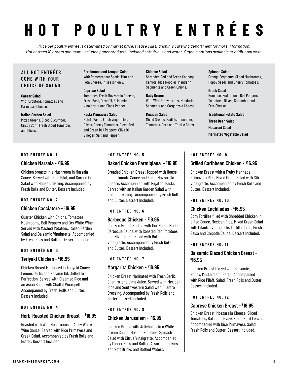# **HOT POULTRY ENTRÉES**

*Price per poultry entrée is determined by market price. Please call Bianchini's catering department for more information. Hot entrées 10 orders minimum. Included paper products. Included soft drinks and water. Organic options available at additional cost.*

# **A L L H OT E N T R É E S COME WITH YOUR CHOICE OF SALAD**

#### **Caesar Salad** With Croutons, Tomatoes and Parmesan Cheese.

**Italian Garden Salad** Mixed Greens, Diced Cucumber, Crispy Corn, Fresh Diced Tomatoes and Olives.

#### **Persimmon and Arugula Salad** With Pomegranate Seeds, Mint and Feta Cheese. In season only.

#### **Caprese Salad** Tomatoes, Fresh Mozzarella Cheese, Fresh Basil, Olive Oil, Balsamic Vinaigrette and Black Pepper.

#### **Pasta Primavera Salad** Rotelli Pasta, Fresh Vegetables, Olives, Cherry Tomatoes, Diced Red and Green Bell Peppers, Olive Oil, Vinegar, Salt and Pepper.

#### **Chinese Salad**

Shredded Red and Green Cabbage, Carrots, Rice Noodles, Mandarin Segments and Green Onions.

**Baby Greens** With With Strawberries, Mandarin Segments and Gorgonzola Cheese.

#### **Mexican Salad** Mixed Greens, Radish, Cucumber, Tomatoes, Corn and Tortilla Chips.

#### **Spinach Salad**

Orange Segments, Sliced Mushrooms, Poppy Seeds and Cherry Tomatoes.

#### **Greek Salad** Romaine, Red Onions, Bell Peppers, Tomatoes, Olives, Cucumber and Feta Cheese.

#### **Traditional Potato Salad**

**Three Bean Salad Macaroni Salad Marinated Vegetable Salad**

#### **HOT ENTRÉE NO. 1**

# **Chicken Marsala - \$ 16.95**

Chicken breasts in a Mushroom in Marsala Sauce. Served with Rice Pilaf, and Garden Green Salad with House Dressing. Accompanied by Fresh Rolls and Butter. Dessert Included.

# **HOT ENTRÉE NO. 2**

# **Chicken Cacciatore - \$ 16.95**

Quarter Chicken with Onions, Tomatoes, Mushrooms, Bell Peppers and Dry White Wine. Served with Mashed Potatoes, Italian Garden Salad and Balsamic Vinaigrette. Accompanied by Fresh Rolls and Butter. Dessert Included.

#### **HOT ENTRÉE NO. 3**

# **Teriyaki Chicken - \$ 16.95**

Chicken Breast Marinated in Teriyaki Sauce, Lemon, Garlic and Sesame Oil, Grilled to Perfection. Served with Steamed Rice and an Asian Salad with Shallot Vinaigrette. Accompanied by Fresh Rolls and Butter. Dessert Included.

# **HOT ENTRÉE NO. 4**

# **Herb-Roasted Chicken Breast - \$ 16.95**

Roasted with Wild Mushrooms in A Dry White Wine Sauce. Served with Rice Primavera and Greek Salad. Accompanied by Fresh Rolls and Butter. Dessert Included.

# **HOT ENTRÉE NO. 5**

# **Baked Chicken Parmigiana - \$ 16.95**

Breaded Chicken Breast Topped with House made Tomato Sauce and Fresh Mozzarella Cheese, Accompanied with Rigatoni Pasta. Served with an Italian Garden Salad with Italian Dressing. Accompanied by Fresh Rolls and Butter. Dessert Included.

# **HOT ENTRÉE NO. 6**

# **Barbecue Chicken - \$ 16.95**

Chicken Breast Basted with Our House Made Barbecue Sauce, with Roasted Red Potatoes, and Mixed Green Salad with Balsamic Vinaigrette. Accompanied by Fresh Rolls and Butter. Dessert Included.

# **HOT ENTRÉE NO. 7**

# **Margarita Chicken - \$ 16.95**

Chicken Breast Marinated with Fresh Garlic, Cilantro, and Lime Juice. Served with Mexican Rice and Southwestern Salad with Cilantro Dressing. Accompanied by Fresh Rolls and Butter. Dessert Included.

# **HOT ENTRÉE NO. 8**

# **Chicken Jerusalem - \$ 16.95**

Chicken Breast with Artichokes in a White Cream Sauce. Mashed Potatoes, Spinach Salad with Citrus Vinaigrette. Accompanied by Dinner Rolls and Butter, Assorted Cookies and Soft Drinks and Bottled Waters.

#### **HOT ENTRÉE NO. 9**

# **Grilled Caribbean Chicken - \$ 16.95**

Chicken Breast with a Fruity Marinade, Primavera Rice, Mixed Green Salad with Citrus Vinaigrette. Accompanied by Fresh Rolls and Butter. Dessert Included.

#### **HOT ENTRÉE NO. 10**

# **Chicken Enchiladas - \$ 16.95**

Corn Tortillas filled with Shredded Chicken in a Red Sauce, Mexican Rice, Mixed Green Salad with Cilantro Vinaigrette, Tortilla Chips, Fresh Salsa and Chipotle Sauce. Dessert Included.

#### **HOT ENTRÉE NO. 11**

# **Balsamic Glazed Chicken Breast - \$ 16.95**

Chicken Breast Glazed with Balsamic, Honey, Mustard and Garlic. Accompanied with Rice Pilaff, Salad, Fresh Rolls and Butter. Dessert Included.

#### **HOT ENTRÉE NO. 12**

# **Caprese Chicken Breast - \$ 16.95**

Chicken Breast, Mozzarella Cheese, Sliced Tomatoes, Balsamic Glaze, Fresh Basil Leaves. Accompanied with Rice Primavera, Salad, Fresh Rolls and Butter. Dessert Included.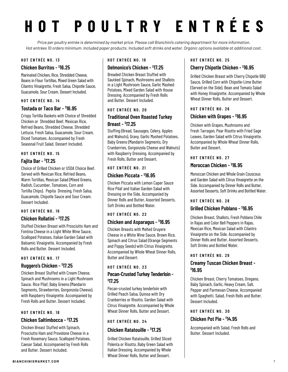# **HOT POULTRY ENTRÉES**

*Price per poultry entrée is determined by market price. Please call Bianchini's catering department for more information. Hot entrées 10 orders minimum. Included paper products. Included soft drinks and water. Organic options available at additional cost.*

#### **HOT ENTRÉE NO. 13**

# **Chicken Burritos - \$ 16.25**

Marinated Chicken, Rice, Shredded Cheese, Beans in Flour Tortillas, Mixed Green Salad with Cilantro Vinaigrette, Fresh Salsa, Chipotle Sauce, Guacamole, Sour Cream. Dessert Included.

#### **HOT ENTRÉE NO. 14**

# **Tostada or Taco Bar - \$ 16.95**

Crispy Tortilla Baskets with Choice of Shredded Chicken or Shredded Beef. Mexican Rice, Refried Beans, Shredded Cheese, Shredded Lettuce, Fresh Salsa, Guacamole, Sour Cream, Diced Tomatoes. Accompanied by Fresh Seasonal Fruit Salad. Dessert Included.

#### **HOT ENTRÉE NO. 15**

# **Fajita Bar - \$ 17.25**

Choice of Grilled Chicken or USDA Choice Beef. Served with Mexican Rice, Refried Beans, Warm Tortillas, Mexican Salad (Mixed Greens, Radish, Cucumber, Tomatoes, Corn and Tortilla Chips). Pepita Dressing, Fresh Salsa, Guacamole, Chipotle Sauce and Sour Cream. Dessert Included.

#### **HOT ENTRÉE NO. 16**

# **Chicken Rollatini - \$ 17.25**

Stuffed Chicken Breast with Prosciutto Ham and Fontina Cheese in a Light White Wine Sauce, Scalloped Potatoes, Italian Garden Salad with Balsamic Vinaigrette. Accompanied by Fresh Rolls and Butter. Dessert Included.

#### **HOT ENTRÉE NO. 17**

# **Ruggero's Chicken - \$ 17.25**

Chicken Breast Stuffed with Cream Cheese, Spinach and Mushrooms in a Light Mushroom Sauce. Rice Pilaf, Baby Greens (Mandarin Segments, Strawberries, Gorgonzola Cheese), with Raspberry Vinaigrette. Accompanied by Fresh Rolls and Butter. Dessert Included.

#### **HOT ENTRÉE NO. 18**

# **Chicken Saltimbocca - \$ 17.25**

Chicken Breast Stuffed with Spinach, Prosciutto Ham and Provolone Cheese in a Fresh Rosemary Sauce, Scalloped Potatoes, Caesar Salad. Accompanied by Fresh Rolls and Butter. Dessert Included.

#### **HOT ENTRÉE NO. 19**

# **Delmonico's Chicken - \$ 17.25**

Breaded Chicken Breast Stuffed with Sautéed Spinach, Mushrooms and Shallots in a Light Mushroom Sauce, Garlic Mashed Potatoes, Mixed Garden Salad with House Dressing. Accompanied by Fresh Rolls and Butter. Dessert Included.

#### **HOT ENTRÉE NO. 20**

# **Traditional Oven Roasted Turkey Breast - \$ 17.25**

Stuffing (Bread, Sausages, Celery, Apples and Walnuts), Gravy, Garlic Mashed Potatoes, Baby Greens (Mandarin Segments, Dry Cranberries, Gorgonzola Cheese and Walnuts) with Raspberry Dressing. Accompanied by Fresh Rolls, Butter and Dessert.

#### **HOT ENTRÉE NO. 21**

# **Chicken Piccata - \$ 16.95**

Chicken Piccata with Lemon Caper Sauce Rice Pilaf and Italian Garden Salad with Dressing on the Side. Accompanied by Dinner Rolls and Butter, Assorted Desserts, Soft Drinks and Bottled Water.

#### **HOT ENTRÉE NO. 22**

# **Chicken and Asparagus - \$ 16.95**

Chicken Breasts with Melted Gruyere Cheese in a White Wine Sauce, Brown Rice, Spinach and Citrus Salad (Orange Segments and Poppy Seeds) with Citrus Vinaigrette. Accompanied by Whole Wheat Dinner Rolls, Butter and Dessert.

#### **HOT ENTRÉE NO. 23**

# **Pecan-Crusted Turkey Tenderloin - \$ 17.25**

Pecan-crusted turkey tenderloin with Grilled Peach Salsa, Quinoa with Dry Cranberries or Risotto. Garden Salad with Citrus Vinaigrette. Accompanied by Whole Wheat Dinner Rolls, Butter and Dessert.

#### **HOT ENTRÉE NO. 24**

# **Chicken Ratatouille - \$ 17.25**

Grilled Chicken Ratatouille, Grilled Sliced Polenta or Risotto, Baby Green Salad with Italian Dressing. Accompanied by Whole Wheat Dinner Rolls, Butter and Dessert.

# **HOT ENTRÉE NO. 25**

# **Cherry Chipotle Chicken - \$ 16.95**

Grilled Chicken Breast with Cherry Chipotle BBQ Sauce, Grilled Corn with Chipotle-Lime Butter (Served on the Side). Bean and Tomato Salad with Honey Vinaigrette. Accompanied by Whole Wheat Dinner Rolls, Butter and Dessert.

# **HOT ENTRÉE NO. 26**

# **Chicken with Grapes - \$ 16.95**

Chicken with Grapes, Mushrooms and Fresh Tarragon, Pear Risotto with Fried Sage Leaves, Garden Salad with Citrus Vinaigrette. Accompanied by Whole Wheat Dinner Rolls, Butter and Dessert.

#### **HOT ENTRÉE NO. 27**

# **Moroccan Chicken - \$ 16.95**

Moroccan Chicken and Whole Grain Couscous and Garden Salad with Citrus Vinaigrette on the Side. Accompanied by Dinner Rolls and Butter, Assorted Desserts, Soft Drinks and Bottled Water.

#### **HOT ENTRÉE NO. 28**

# **Grilled Chicken Poblano - \$ 16.95**

Chicken Breast, Shallots, Fresh Poblano Chile in Rajas and Color Bell Peppers in Rajas, Mexican Rice, Mexican Salad with Cilantro Vinaigrette on the Side. Accompanied by Dinner Rolls and Butter, Assorted Desserts, Soft Drinks and Bottled Water.

### **HOT ENTRÉE NO. 29**

# **Creamy Tuscan Chicken Breast - \$ 16.95**

Chicken Breast, Cherry Tomatoes, Oregano, Baby Spinach, Garlic, Heavy Cream, Salt, Pepper and Parmesan Cheese. Accompanied with Spaghetti. Salad, Fresh Rolls and Butter. Dessert Included.

# **HOT ENTRÉE NO. 30**

# **Chicken Pot Pie - \$ 14.95**

Accompanied with Salad, Fresh Rolls and Butter. Dessert Included.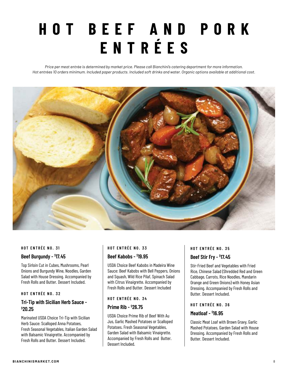# **HOT BEEF AND PORK ENTRÉES**

*Price per meat entrée is determined by market price. Please call Bianchini's catering department for more information. Hot entrées 10 orders minimum. Included paper products. Included soft drinks and water. Organic options available at additional cost.*



#### **HOT ENTRÉE NO. 31**

#### **Beef Burgundy - \$ 17.45**

Top Sirloin Cut in Cubes, Mushrooms, Pearl Onions and Burgundy Wine, Noodles, Garden Salad with House Dressing. Accompanied by Fresh Rolls and Butter. Dessert Included.

#### **HOT ENTRÉE NO. 32**

# **Tri-Tip with Sicilian Herb Sauce - \$ 20.25**

Marinated USDA Choice Tri-Tip with Sicilian Herb Sauce: Scalloped Anna Potatoes, Fresh Seasonal Vegetables, Italian Garden Salad with Balsamic Vinaigrette. Accompanied by Fresh Rolls and Butter. Dessert Included.

# **HOT ENTRÉE NO. 33**

#### **Beef Kabobs - \$ 19.95**

USDA Choice Beef Kabobs in Madeira Wine Sauce: Beef Kabobs with Bell Peppers, Onions and Squash, Wild Rice Pilaf, Spinach Salad with Citrus Vinaigrette. Accompanied by Fresh Rolls and Butter. Dessert Included

#### **HOT ENTRÉE NO. 34**

#### **Prime Rib - \$ 26.75**

USDA Choice Prime Rib of Beef With Au Jus, Garlic Mashed Potatoes or Scalloped Potatoes. Fresh Seasonal Vegetables, Garden Salad with Balsamic Vinaigrette. Accompanied by Fresh Rolls and Butter. Dessert Included.

# **HOT ENTRÉE NO. 35 Beef Stir Fry - \$ 17.45**

Stir-Fried Beef and Vegetables with Fried Rice, Chinese Salad (Shredded Red and Green Cabbage, Carrots, Rice Noodles, Mandarin Orange and Green Onions) with Honey Asian Dressing. Accompanied by Fresh Rolls and Butter. Dessert Included.

#### **HOT ENTRÉE NO. 36**

#### **Meatloaf - \$ 16.95**

Classic Meat Loaf with Brown Gravy, Garlic Mashed Potatoes, Garden Salad with House Dressing. Accompanied by Fresh Rolls and Butter. Dessert Included.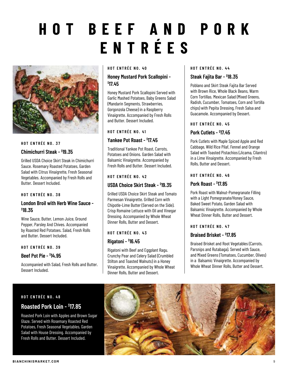# **HOT BEEF AND PORK ENTRÉES**



# **HOT ENTRÉE NO. 37**

#### **Chimichurri Steak - \$ 19.35**

Grilled USDA Choice Skirt Steak in Chimichurri Sauce. Rosemary Roasted Potatoes, Garden Salad with Citrus Vinaigrette, Fresh Seasonal Vegetables. Accompanied by Fresh Rolls and Butter. Dessert Included.

#### **HOT ENTRÉE NO. 38**

# **London Broil with Herb Wine Sauce - \$ 18.35**

Wine Sauce, Butter, Lemon Juice, Ground Pepper, Parsley And Chives. Accompanied by Roasted Red Potatoes. Salad, Fresh Rolls and Butter. Dessert Included.

#### **HOT ENTRÉE NO. 39**

### **Beef Pot Pie - \$ 14.95**

Accompanied with Salad, Fresh Rolls and Butter. Dessert Included.

#### **HOT ENTRÉE NO. 40**

# **Honey Mustard Pork Scallopini - \$ 17.45**

Honey Mustard Pork Scallopini Served with Garlic Mashed Potatoes, Baby Greens Salad (Mandarin Segments, Strawberries, Gorgonzola Cheese) in a Raspberry Vinaigrette. Accompanied by Fresh Rolls and Butter. Dessert Included.

#### **HOT ENTRÉE NO. 41**

# **Yankee Pot Roast - \$ 17.45**

Traditional Yankee Pot Roast, Carrots, Potatoes and Onions. Garden Salad with Balsamic Vinaigrette. Accompanied by Fresh Rolls and Butter. Dessert Included.

#### **HOT ENTRÉE NO. 42**

# **USDA Choice Skirt Steak - \$ 19.35**

Grilled USDA Choice Skirt Steak and Tomato Parmesan Vinaigrette. Grilled Corn with Chipotle-Lime Butter (Served on the Side). Crisp Romaine Lettuce with Oil and Vinegar Dressing. Accompanied by Whole Wheat Dinner Rolls, Butter and Dessert.

#### **HOT ENTRÉE NO. 43**

#### **Rigatoni - \$ 16.45**

Rigatoni with Beef and Eggplant Ragu. Crunchy Pear and Celery Salad (Crumbled Stilton and Toasted Walnuts) in a Honey Vinaigrette. Accompanied by Whole Wheat Dinner Rolls, Butter and Dessert.

#### **HOT ENTRÉE NO. 44**

# **Steak Fajita Bar - \$ 18.35**

Poblano and Skirt Steak Fajita Bar Served with Brown Rice, Whole Black Beans, Warm Corn Tortillas. Mexican Salad (Mixed Greens, Radish, Cucumber, Tomatoes, Corn and Tortilla chips) with Pepita Dressing, Fresh Salsa and Guacamole. Accompanied by Dessert.

#### **HOT ENTRÉE NO. 45**

#### **Pork Cutlets - \$ 17.45**

Pork Cutlets with Maple Spiced Apple and Red Cabbage, Wild Rice Pilaf, Fennel and Orange Salad with Toasted Pistachios (Jicama, Cilantro) in a Lime Vinaigrette. Accompanied by Fresh Rolls, Butter and Dessert.

#### **HOT ENTRÉE NO. 46**

#### **Pork Roast - \$ 17.85**

Pork Roast with Walnut-Pomegranate Filling with a Light Pomegranate/Honey Sauce, Baked Sweet Potato, Garden Salad with Balsamic Vinaigrette. Accompanied by Whole Wheat Dinner Rolls, Butter and Dessert.

#### **HOT ENTRÉE NO. 47**

### **Braised Brisket - \$ 17.85**

Braised Brisket and Root Vegetables (Carrots, Parsnips and Rutabaga). Served with Sauce, and Mixed Greens (Tomatoes, Cucumber, Olives) in a Balsamic Vinaigrette. Accompanied by Whole Wheat Dinner Rolls, Butter and Dessert.

#### **HOT ENTRÉE NO. 48**

# **Roasted Pork Loin - \$ 17.85**

Roasted Pork Loin with Apples and Brown Sugar Glaze. Served with Rosemary Roasted Red Potatoes, Fresh Seasonal Vegetables, Garden Salad with House Dressing. Accompanied by Fresh Rolls and Butter. Dessert Included.

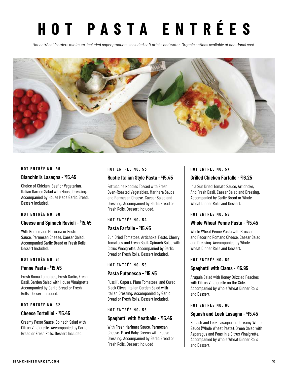# **HOT PASTA ENTRÉES**

*Hot entrées 10 orders minimum. Included paper products. Included soft drinks and water. Organic options available at additional cost.*



#### **HOT ENTRÉE NO. 49**

#### **Bianchini's Lasagna - \$ 15.45**

Choice of Chicken, Beef or Vegetarian, Italian Garden Salad with House Dressing. Accompanied by House Made Garlic Bread. Dessert Included.

#### **HOT ENTRÉE NO. 50**

# **Cheese and Spinach Ravioli - \$ 15.45**

With Homemade Marinara or Pesto Sauce, Parmesan Cheese, Caesar Salad. Accompanied Garlic Bread or Fresh Rolls. Dessert Included.

#### **HOT ENTRÉE NO. 51**

#### **Penne Pasta - \$ 15.45**

Fresh Roma Tomatoes, Fresh Garlic, Fresh Basil. Garden Salad with House Vinaigrette. Accompanied by Garlic Bread or Fresh Rolls. Dessert Included.

#### **HOT ENTRÉE NO. 52**

# **Cheese Tortellini - \$ 15.45**

Creamy Pesto Sauce. Spinach Salad with Citrus Vinaigrette. Accompanied by Garlic Bread or Fresh Rolls. Dessert Included.

#### **HOT ENTRÉE NO. 53**

# **Rustic Italian Style Pasta - \$ 15.45**

Fettuccine Noodles Tossed with Fresh Oven-Roasted Vegetables. Marinara Sauce and Parmesan Cheese. Caesar Salad and Dressing. Accompanied by Garlic Bread or Fresh Rolls. Dessert Included.

#### **HOT ENTRÉE NO. 54**

# **Pasta Farfalle - \$ 15.45**

Sun Dried Tomatoes, Artichoke, Pesto, Cherry Tomatoes and Fresh Basil. Spinach Salad with Citrus Vinaigrette. Accompanied by Garlic Bread or Fresh Rolls. Dessert Included.

#### **HOT ENTRÉE NO. 55**

# **Pasta Putanesca - \$ 15.45**

Fussilli, Capers, Plum Tomatoes, and Cured Black Olives. Italian Garden Salad with Italian Dressing. Accompanied by Garlic Bread or Fresh Rolls. Dessert Included.

#### **HOT ENTRÉE NO. 56**

# **Spaghetti with Meatballs - \$ 15.45**

With Fresh Marinara Sauce, Parmesan Cheese. Mixed Baby Greens with House Dressing. Accompanied by Garlic Bread or Fresh Rolls. Dessert Included

#### **HOT ENTRÉE NO. 57**

# **Grilled Chicken Farfalle - \$ 16.25**

In a Sun Dried Tomato Sauce, Artichoke, And Fresh Basil. Caesar Salad and Dressing. Accompanied by Garlic Bread or Whole Wheat Dinner Rolls and Dessert.

#### **HOT ENTRÉE NO. 58**

# **Whole Wheat Penne Pasta - \$ 15.45**

Whole Wheat Penne Pasta with Broccoli and Pecorino Romano Cheese. Caesar Salad and Dressing. Accompanied by Whole Wheat Dinner Rolls and Dessert.

#### **HOT ENTRÉE NO. 59**

# **Spaghetti with Clams - \$ 16.95**

Arugula Salad with Honey Drizzled Peaches with Citrus Vinaigrette on the Side. Accompanied by Whole Wheat Dinner Rolls and Dessert.

# **HOT ENTRÉE NO. 60**

# **Squash and Leek Lasagna - \$ 15.45**

Squash and Leek Lasagna in a Creamy White Sauce (Whole Wheat Pasta). Green Salad with Asparagus and Peas in a Citrus Vinaigrette. Accompanied by Whole Wheat Dinner Rolls and Dessert.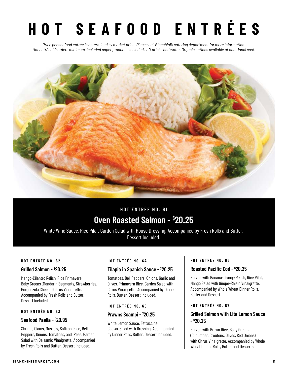# **HOT SEAFOOD ENTRÉES**

*Price per seafood entrée is determined by market price. Please call Bianchini's catering department for more information. Hot entrées 10 orders minimum. Included paper products. Included soft drinks and water. Organic options available at additional cost.*



# **HOT ENTRÉE NO. 61 Oven Roasted Salmon - \$ 20.25**

White Wine Sauce, Rice Pilaf. Garden Salad with House Dressing. Accompanied by Fresh Rolls and Butter. Dessert Included.

#### **HOT ENTRÉE NO. 62**

#### **Grilled Salmon - \$ 20.25**

Mango-Cilantro Relish, Rice Primavera. Baby Greens (Mandarin Segments, Strawberries, Gorgonzola Cheese) Citrus Vinaigrette. Accompanied by Fresh Rolls and Butter. Dessert Included.

#### **HOT ENTRÉE NO. 63**

#### **Seafood Paella - \$ 20.95**

Shrimp, Clams, Mussels, Saffron, Rice, Bell Peppers, Onions, Tomatoes, and Peas. Garden Salad with Balsamic Vinaigrette. Accompanied by Fresh Rolls and Butter. Dessert Included.

#### **HOT ENTRÉE NO. 64**

#### **Tilapia in Spanish Sauce - \$ 20.25**

Tomatoes, Bell Peppers, Onions, Garlic and Olives, Primavera Rice. Garden Salad with Citrus Vinaigrette. Accompanied by Dinner Rolls, Butter. Dessert Included.

#### **HOT ENTRÉE NO. 65**

# **Prawns Scampi - \$ 20.25**

White Lemon Sauce, Fettuccine. Caesar Salad with Dressing. Accompanied by Dinner Rolls, Butter. Dessert Included.

#### **HOT ENTRÉE NO. 66**

### **Roasted Pacific Cod - \$ 20.25**

Served with Banana-Orange Relish, Rice Pilaf, Mango Salad with Ginger-Raisin Vinaigrette. Accompanied by Whole Wheat Dinner Rolls, Butter and Dessert.

#### **HOT ENTRÉE NO. 67**

# **Grilled Salmon with Lite Lemon Sauce - \$ 20.25**

Served with Brown Rice, Baby Greens (Cucumber, Croutons, Olives, Red Onions) with Citrus Vinaigrette. Accompanied by Whole Wheat Dinner Rolls, Butter and Desserts.

#### **BIANCHINISMARKET.COM** 11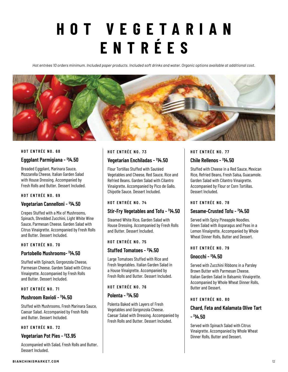# **HOT VEGETARIAN ENTRÉES**

*Hot entrées 10 orders minimum. Included paper products. Included soft drinks and water. Organic options available at additional cost.*



#### **HOT ENTRÉE NO. 68**

#### **Eggplant Parmigiana - \$ 14.50**

Breaded Eggplant, Marinara Sauce, Mozzarella Cheese, Italian Garden Salad with House Dressing. Accompanied by Fresh Rolls and Butter. Dessert Included.

#### **HOT ENTRÉE NO. 69**

#### **Vegetarian Cannelloni - \$ 14.50**

Crepes Stuffed with a Mix of Mushrooms, Spinach, Shredded Zucchini, Light White Wine Sauce, Parmesan Cheese. Garden Salad with Citrus Vinaigrette. Accompanied by Fresh Rolls and Butter. Dessert Included.

#### **HOT ENTRÉE NO. 70**

#### **Portobello Mushrooms- \$ 14.50**

Stuffed with Spinach, Gorgonzola Cheese, Parmesan Cheese. Garden Salad with Citrus Vinaigrette. Accompanied by Fresh Rolls and Butter. Dessert Included.

#### **HOT ENTRÉE NO. 71**

#### **Mushroom Ravioli - \$ 14.50**

Stuffed with Mushrooms, Fresh Marinara Sauce, Caesar Salad. Accompanied by Fresh Rolls and Butter. Dessert Included.

#### **HOT ENTRÉE NO. 72**

### **Vegetarian Pot Pies - \$ 13.95**

Accompanied with Salad, Fresh Rolls and Butter. Dessert Included.

# **HOT ENTRÉE NO. 73**

#### **Vegetarian Enchiladas - \$ 14.50**

Flour Tortillas Stuffed with Sautéed Vegetables and Cheese, Red Sauce, Rice and Refried Beans. Garden Salad with Cilantro Vinaigrette. Accompanied by Pico de Gallo, Chipotle Sauce. Dessert Included.

#### **HOT ENTRÉE NO. 74**

### **Stir-Fry Vegetables and Tofu - \$ 14.50**

Steamed White Rice, Garden Salad with House Dressing. Accompanied by Fresh Rolls and Butter. Dessert Included.

#### **HOT ENTRÉE NO. 75**

# **Stuffed Tomatoes - \$ 14.50**

Large Tomatoes Stuffed with Rice and Fresh Vegetables. Italian Garden Salad in a House Vinaigrette. Accompanied by Fresh Rolls and Butter. Dessert Included.

#### **HOT ENTRÉE NO. 76**

#### **Polenta - \$ 14.50**

Polenta Baked with Layers of Fresh Vegetables and Gorgonzola Cheese. Caesar Salad with Dressing. Accompanied by Fresh Rolls and Butter. Dessert Included.

#### **HOT ENTRÉE NO. 77**

#### **Chile Rellenos - \$ 14.50**

Stuffed with Cheese in a Red Sauce, Mexican Rice, Refried Beans, Fresh Salsa, Guacamole. Garden Salad with Cilantro Vinaigrette. Accompanied by Flour or Corn Tortillas. Dessert Included.

#### **HOT ENTRÉE NO. 78**

#### **Sesame-Crusted Tofu - \$ 14.50**

Served with Spicy Pineapple Noodles. Green Salad with Asparagus and Peas in a Lemon Vinaigrette. Accompanied by Whole Wheat Dinner Rolls, Butter and Dessert.

#### **HOT ENTRÉE NO. 79**

### **Gnocchi - \$ 14.50**

Served with Zucchini Ribbons in a Parsley Brown Butter with Parmesan Cheese. Italian Garden Salad in Balsamic Vinaigrette. Accompanied by Whole Wheat Dinner Rolls, Butter and Dessert.

#### **HOT ENTRÉE NO. 80**

#### **Chard, Feta and Kalamata Olive Tart**

#### **- \$ 14.50**

Served with Spinach Salad with Citrus Vinaigrette. Accompanied by Whole Wheat Dinner Rolls, Butter and Dessert.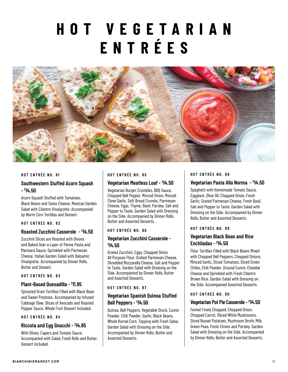# **HOT VEGETARIAN ENTRÉES**



#### **HOT ENTRÉE NO. 81**

# **Southwestern Stuffed Acorn Squash - \$ 14.50**

Acorn Squash Stuffed with Tomatoes, Black Beans and Swiss Cheese. Mexican Garden Salad with Cilantro Vinaigrette. Accompanied by Warm Corn Tortillas and Dessert.

#### **HOT ENTRÉE NO. 82**

#### **Roasted Zucchini Casserole - \$ 14.50**

Zucchini Slices are Roasted with Onions and Baked Over a Layer of Penne Pasta and Marinara Sauce, Sprinkled with Parmesan Cheese. Italian Garden Salad with Balsamic Vinaigrette. Accompanied by Dinner Rolls, Butter and Dessert.

#### **HOT ENTRÉE NO. 83**

#### **Plant-Based Quesadilla - \$ 11.95**

Sprouted Grain Tortillas Filled with Black Bean and Sweet Potatoes. Accompanied by Infused Cabbage Slaw, Slices of Avocado and Roasted Pepper Sauce. Whole Fruit Dessert Included.

#### **HOT ENTRÉE NO. 84**

#### **Riccota and Egg Gnocchi - \$ 14.65**

With Olives, Capers and Tomato Sauce. Accompanied with Salad, Fresh Rolls and Butter. Dessert Included.

#### **HOT ENTRÉE NO. 85**

#### **Vegetarian Meatless Loaf - \$ 14.50**

Vegetarian Burger Crumbles, BBQ Sauce, Chopped Bell Pepper, Minced Onion, Minced Clove Garlic, Soft Bread Crumbs, Parmesan Cheese, Eggs, Thyme, Basil, Parsley, Salt and Pepper to Taste. Garden Salad with Dressing on the Side. Accompanied by Dinner Rolls, Butter and Assorted Desserts .

#### **HOT ENTRÉE NO. 86**

# **Vegetarian Zucchini Casserole - \$ 14.50**

Grated Zucchini, Eggs, Chopped Onion, All Purpose Flour, Grated Parmesan Cheese, Shredded Mozzarella Cheese, Salt and Pepper to Taste. Garden Salad with Dressing on the Side. Accompanied by Dinner Rolls, Butter and Assorted Desserts.

#### **HOT ENTRÉE NO. 87**

# **Vegetarian Spanish Quinoa Stuffed Bell Peppers - \$ 14.50**

Quinoa, Bell Peppers, Vegetable Stock, Cumin Powder, Chili Powder, Garlic, Black Beans, Whole Kernel Corn. Topping with Fresh Salsa. Garden Salad with Dressing on the Side. Accompanied by Dinner Rolls, Butter and Assorted Desserts.

#### **HOT ENTRÉE NO. 88**

#### **Vegetarian Pasta Alla Norma - \$ 14.50**

Spaghetti with Homemade Tomato Sauce, Eggplant, Olive Oil, Chopped Onion, Fresh Garlic, Grated Parmesan Cheese, Fresh Basil, Salt and Pepper to Taste. Garden Salad with Dressing on the Side. Accompanied by Dinner Rolls, Butter and Assorted Desserts.

#### **HOT ENTRÉE NO. 89**

# **Vegetarian Black Bean and Rice Enchiladas - \$ 14.50**

Flour Tortillas Filled with Black Beans Mixed with Chopped Bell Peppers, Chopped Onions, Minced Garlic, Diced Tomatoes, Diced Green Chiles, Chili Powder, Ground Cumin, Cheddar Cheese and Sprinkled with Fresh Cilantro Brown Rice. Garden Salad with Dressing on the Side. Accompanied Assorted Desserts.

#### **HOT ENTRÉE NO. 90**

#### **Vegetarian Pot Pie Casserole - \$ 14.50**

Fennel Finely Chopped, Chopped Onion, Chopped Carrot, Sliced White Mushrooms, Diced Russet Potatoes, Mushroom Broth, Milk, Green Peas, Fresh Chives and Parsley. Garden Salad with Dressing on the Side. Accompanied by Dinner Rolls, Butter and Assorted Desserts.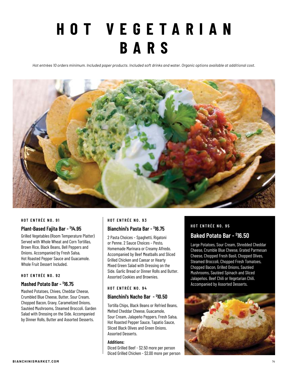# **HOT VEGETARIAN BARS**

*Hot entrées 10 orders minimum. Included paper products. Included soft drinks and water. Organic options available at additional cost.*



#### **HOT ENTRÉE NO. 91**

### **Plant-Based Fajita Bar - \$ 14.95**

Grilled Vegetables (Room Temperature Platter) Served with Whole Wheat and Corn Tortillas, Brown Rice, Black Beans, Bell Peppers and Onions. Accompanied by Fresh Salsa, Hot Roasted Pepper Sauce and Guacamole. Whole Fruit Dessert Included.

#### **HOT ENTRÉE NO. 92**

# **Mashed Potato Bar - \$ 16.75**

Mashed Potatoes, Chives, Cheddar Cheese, Crumbled Blue Cheese, Butter, Sour Cream, Chopped Bacon, Gravy, Caramelized Onions, Sautéed Mushrooms, Steamed Broccoli. Garden Salad with Dressing on the Side. Accompanied by Dinner Rolls, Butter and Assorted Desserts.

#### **HOT ENTRÉE NO. 93**

# **Bianchini's Pasta Bar - \$ 16.75**

2 Pasta Choices – Spaghetti, Rigatoni or Penne. 2 Sauce Choices – Pesto, Homemade Marinara or Creamy Alfredo. Accompanied by Beef Meatballs and Sliced Grilled Chicken and Caesar or Hearty Mixed Green Salad with Dressing on the Side. Garlic Bread or Dinner Rolls and Butter. Assorted Cookies and Brownies.

#### **HOT ENTRÉE NO. 94**

# **Bianchini's Nacho Bar - \$ 10.50**

Tortilla Chips, Black Beans or Refried Beans, Melted Cheddar Cheese, Guacamole, Sour Cream, Jalapeño Peppers, Fresh Salsa, Hot Roasted Pepper Sauce, Tapatio Sauce, Sliced Black Olives and Green Onions. Assorted Desserts.

#### **Additions:**

Diced Grilled Beef - \$2.50 more per person Diced Grilled Chicken - \$2.00 more per person

#### **HOT ENTRÉE NO. 95**

# **Baked Potato Bar - \$ 16.50**

Large Potatoes, Sour Cream, Shredded Cheddar Cheese, Crumble Blue Cheese, Grated Parmesan Cheese, Chopped Fresh Basil, Chopped Olives, Steamed Broccoli, Chopped Fresh Tomatoes, Chopped Bacon, Grilled Onions, Sautéed Mushrooms, Sautéed Spinach and Sliced Jalapeños. Beef Chili or Vegetarian Chili. Accompanied by Assorted Desserts.